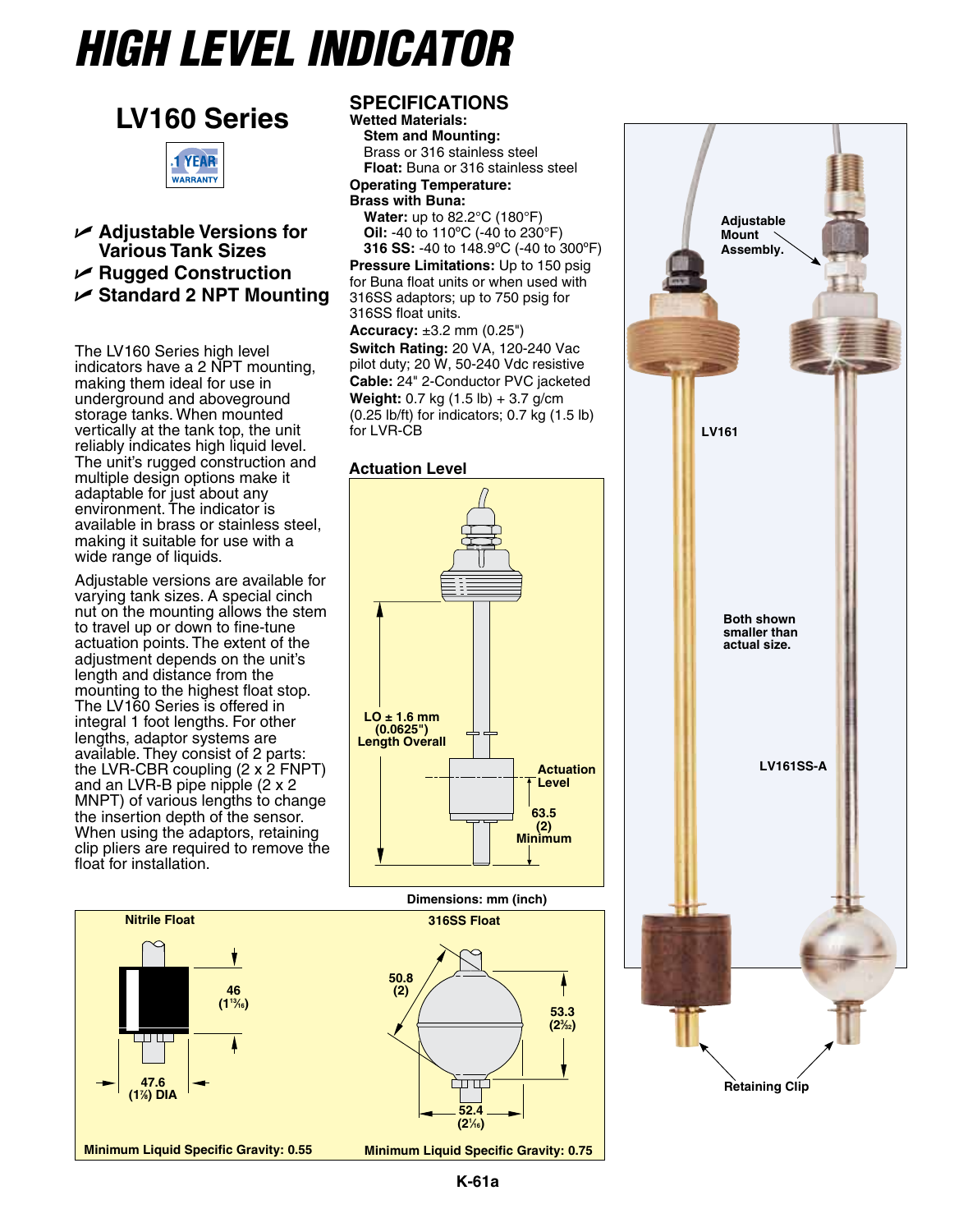# *High Level Indicator*



**LV160 Series**

U **Adjustable Versions for Various Tank Sizes** U **Rugged Construction** U **Standard 2 NPT Mounting**

The LV160 Series high level indicators have a 2 NPT mounting, making them ideal for use in underground and aboveground storage tanks. When mounted vertically at the tank top, the unit reliably indicates high liquid level. The unit's rugged construction and multiple design options make it adaptable for just about any environment. The indicator is available in brass or stainless steel, making it suitable for use with a wide range of liquids.

Adjustable versions are available for varying tank sizes. A special cinch nut on the mounting allows the stem to travel up or down to fine-tune actuation points. The extent of the adjustment depends on the unit's length and distance from the mounting to the highest float stop. The LV160 Series is offered in integral 1 foot lengths. For other lengths, adaptor systems are available. They consist of 2 parts: the LVR-CBR coupling  $(2 \times 2 \text{ FNPT})$ and an LVR-B pipe nipple (2 x 2 MNPT) of various lengths to change the insertion depth of the sensor. When using the adaptors, retaining clip pliers are required to remove the float for installation.

## **Nitrile Float 316SS Float 46 (113⁄16) 47.6 (17 ⁄8) DIA**

### **SPECIFICATIONS**

**Wetted Materials: Stem and Mounting:** Brass or 316 stainless steel **Float:** Buna or 316 stainless steel **Operating Temperature: Brass with Buna: Water:** up to 82.2°C (180°F) **Oil:** -40 to 110ºC (-40 to 230°F) **316 SS:** -40 to 148.9ºC (-40 to 300ºF) **Pressure Limitations:** Up to 150 psig for Buna float units or when used with 316SS adaptors; up to 750 psig for 316SS float units. **Accuracy:** ±3.2 mm (0.25")

**Switch Rating:** 20 VA, 120-240 Vac pilot duty; 20 W, 50-240 Vdc resistive **Cable:** 24" 2-Conductor PVC jacketed **Weight:** 0.7 kg (1.5 lb) + 3.7 g/cm (0.25 lb/ft) for indicators; 0.7 kg (1.5 lb) for LVR-CB

#### **Actuation Level**



**Dimensions: mm (inch)**